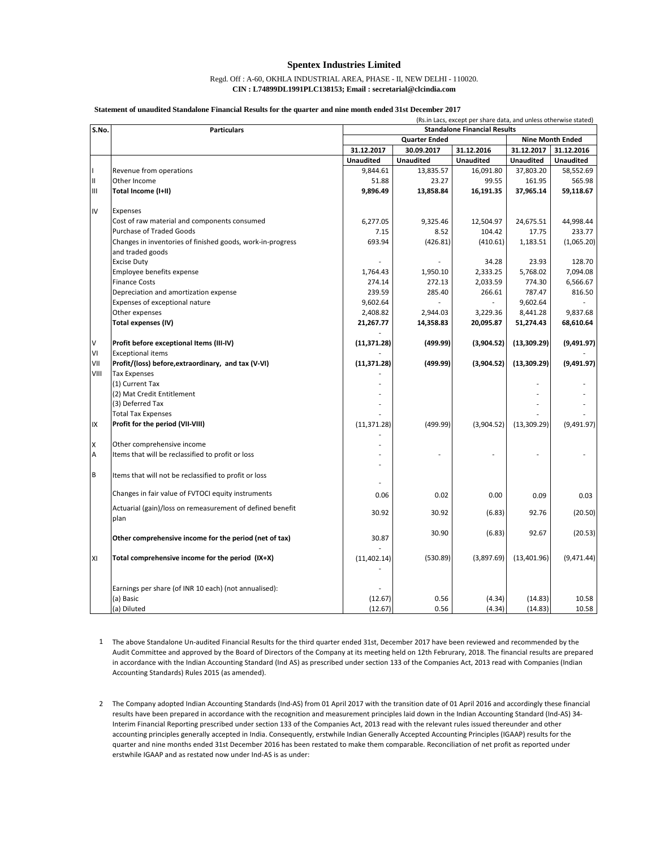## **Spentex Industries Limited**

## Regd. Off : A-60, OKHLA INDUSTRIAL AREA, PHASE - II, NEW DELHI - 110020. **CIN : L74899DL1991PLC138153; Email : secretarial@clcindia.com**

## **Statement of unaudited Standalone Financial Results for the quarter and nine month ended 31st December 2017**

|       | (Rs.in Lacs, except per share data, and unless otherwise stated)   |                  |                                     |                         |                  |                  |  |  |
|-------|--------------------------------------------------------------------|------------------|-------------------------------------|-------------------------|------------------|------------------|--|--|
| S.No. | <b>Particulars</b>                                                 |                  | <b>Standalone Financial Results</b> |                         |                  |                  |  |  |
|       |                                                                    |                  | <b>Quarter Ended</b>                | <b>Nine Month Ended</b> |                  |                  |  |  |
|       |                                                                    | 31.12.2017       | 30.09.2017                          | 31.12.2016              | 31.12.2017       | 31.12.2016       |  |  |
|       |                                                                    | <b>Unaudited</b> | <b>Unaudited</b>                    | <b>Unaudited</b>        | <b>Unaudited</b> | <b>Unaudited</b> |  |  |
|       | Revenue from operations                                            | 9,844.61         | 13,835.57                           | 16,091.80               | 37,803.20        | 58,552.69        |  |  |
| Ш     | Other Income                                                       | 51.88            | 23.27                               | 99.55                   | 161.95           | 565.98           |  |  |
| Ш     | Total Income (I+II)                                                | 9,896.49         | 13,858.84                           | 16,191.35               | 37,965.14        | 59,118.67        |  |  |
| IV    | Expenses                                                           |                  |                                     |                         |                  |                  |  |  |
|       | Cost of raw material and components consumed                       | 6,277.05         | 9,325.46                            | 12,504.97               | 24,675.51        | 44,998.44        |  |  |
|       | Purchase of Traded Goods                                           | 7.15             | 8.52                                | 104.42                  | 17.75            | 233.77           |  |  |
|       | Changes in inventories of finished goods, work-in-progress         | 693.94           | (426.81)                            | (410.61)                | 1,183.51         | (1,065.20)       |  |  |
|       | and traded goods                                                   |                  |                                     |                         |                  |                  |  |  |
|       | <b>Excise Duty</b>                                                 |                  |                                     | 34.28                   | 23.93            | 128.70           |  |  |
|       | Employee benefits expense                                          | 1,764.43         | 1,950.10                            | 2,333.25                | 5,768.02         | 7,094.08         |  |  |
|       | <b>Finance Costs</b>                                               | 274.14           | 272.13                              | 2,033.59                | 774.30           | 6,566.67         |  |  |
|       | Depreciation and amortization expense                              | 239.59           | 285.40                              | 266.61                  | 787.47           | 816.50           |  |  |
|       | Expenses of exceptional nature                                     | 9,602.64         |                                     |                         | 9,602.64         |                  |  |  |
|       | Other expenses                                                     | 2,408.82         | 2,944.03                            | 3,229.36                | 8,441.28         | 9,837.68         |  |  |
|       | <b>Total expenses (IV)</b>                                         | 21,267.77        | 14,358.83                           | 20,095.87               | 51,274.43        | 68,610.64        |  |  |
| V     | Profit before exceptional Items (III-IV)                           | (11, 371.28)     | (499.99)                            | (3,904.52)              | (13, 309.29)     | (9,491.97)       |  |  |
| VI    | <b>Exceptional items</b>                                           |                  |                                     |                         |                  |                  |  |  |
| VII   | Profit/(loss) before, extraordinary, and tax (V-VI)                | (11, 371.28)     | (499.99)                            | (3,904.52)              | (13,309.29)      | (9,491.97)       |  |  |
| VIII  | <b>Tax Expenses</b>                                                |                  |                                     |                         |                  |                  |  |  |
|       | (1) Current Tax                                                    |                  |                                     |                         |                  |                  |  |  |
|       | (2) Mat Credit Entitlement                                         |                  |                                     |                         |                  |                  |  |  |
|       | (3) Deferred Tax                                                   |                  |                                     |                         |                  |                  |  |  |
|       | <b>Total Tax Expenses</b>                                          |                  |                                     |                         |                  |                  |  |  |
| IX    | Profit for the period (VII-VIII)                                   | (11, 371.28)     | (499.99)                            | (3,904.52)              | (13, 309.29)     | (9,491.97)       |  |  |
|       |                                                                    |                  |                                     |                         |                  |                  |  |  |
| X     | Other comprehensive income                                         |                  |                                     |                         |                  |                  |  |  |
| A     | Items that will be reclassified to profit or loss                  |                  |                                     |                         |                  |                  |  |  |
|       |                                                                    |                  |                                     |                         |                  |                  |  |  |
| B     | Items that will not be reclassified to profit or loss              |                  |                                     |                         |                  |                  |  |  |
|       | Changes in fair value of FVTOCI equity instruments                 | 0.06             | 0.02                                | 0.00                    | 0.09             | 0.03             |  |  |
|       | Actuarial (gain)/loss on remeasurement of defined benefit<br>plan  | 30.92            | 30.92                               | (6.83)                  | 92.76            | (20.50)          |  |  |
|       | Other comprehensive income for the period (net of tax)             | 30.87            | 30.90                               | (6.83)                  | 92.67            | (20.53)          |  |  |
| XI    | Total comprehensive income for the period (IX+X)                   | (11, 402.14)     | (530.89)                            | (3,897.69)              | (13,401.96)      | (9,471.44)       |  |  |
|       | Earnings per share (of INR 10 each) (not annualised):<br>(a) Basic | (12.67)          | 0.56                                | (4.34)                  | (14.83)          | 10.58            |  |  |
|       | (a) Diluted                                                        | (12.67)          | 0.56                                | (4.34)                  | (14.83)          | 10.58            |  |  |

- 1 The above Standalone Un-audited Financial Results for the third quarter ended 31st, December 2017 have been reviewed and recommended by the Audit Committee and approved by the Board of Directors of the Company at its meeting held on 12th Februrary, 2018. The financial results are prepared in accordance with the Indian Accounting Standard (Ind AS) as prescribed under section 133 of the Companies Act, 2013 read with Companies (Indian Accounting Standards) Rules 2015 (as amended).
- 2 The Company adopted Indian Accounting Standards (Ind-AS) from 01 April 2017 with the transition date of 01 April 2016 and accordingly these financial results have been prepared in accordance with the recognition and measurement principles laid down in the Indian Accounting Standard (Ind-AS) 34- Interim Financial Reporting prescribed under section 133 of the Companies Act, 2013 read with the relevant rules issued thereunder and other accounting principles generally accepted in India. Consequently, erstwhile Indian Generally Accepted Accounting Principles (IGAAP) results for the quarter and nine months ended 31st December 2016 has been restated to make them comparable. Reconciliation of net profit as reported under erstwhile IGAAP and as restated now under Ind-AS is as under: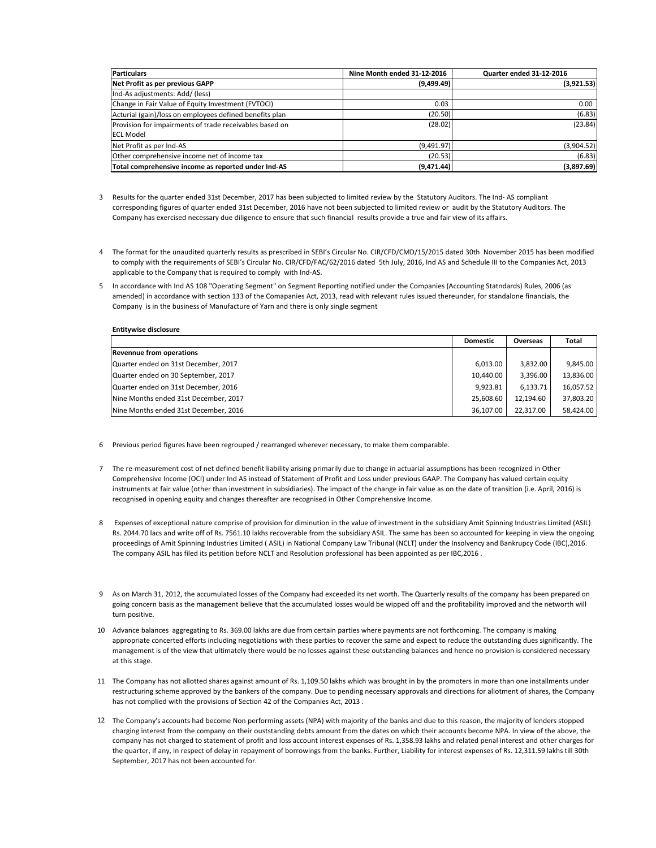| <b>Particulars</b>                                      | Nine Month ended 31-12-2016 | Quarter ended 31-12-2016 |  |  |
|---------------------------------------------------------|-----------------------------|--------------------------|--|--|
| Net Profit as per previous GAPP                         | (9,499.49)                  | (3,921.53)               |  |  |
| Ind-As adjustments: Add/ (less)                         |                             |                          |  |  |
| Change in Fair Value of Equity Investment (FVTOCI)      | 0.03                        | 0.00                     |  |  |
| Acturial (gain)/loss on employees defined benefits plan | (20.50)                     | (6.83)                   |  |  |
| Provision for impairments of trade receivables based on | (28.02)                     | (23.84)                  |  |  |
| <b>ECL Model</b>                                        |                             |                          |  |  |
| Net Profit as per Ind-AS                                | (9,491.97)                  | (3,904.52)               |  |  |
| Other comprehensive income net of income tax            | (20.53)                     | (6.83)                   |  |  |
| Total comprehensive income as reported under Ind-AS     | (9,471.44)                  | (3,897.69)               |  |  |

- 3 Results for the quarter ended 31st December, 2017 has been subjected to limited review by the Statutory Auditors. The Ind- AS compliant corresponding figures of quarter ended 31st December, 2016 have not been subjected to limited review or audit by the Statutory Auditors. The Company has exercised necessary due diligence to ensure that such financial results provide a true and fair view of its affairs.
- 4 The format for the unaudited quarterly results as prescribed in SEBI's Circular No. CIR/CFD/CMD/15/2015 dated 30th November 2015 has been modified to comply with the requirements of SEBI's Circular No. CIR/CFD/FAC/62/2016 dated 5th July, 2016, Ind AS and Schedule III to the Companies Act, 2013 applicable to the Company that is required to comply with Ind-AS.
- 5 In accordance with Ind AS 108 "Operating Segment" on Segment Reporting notified under the Companies (Accounting Statndards) Rules, 2006 (as amended) in accordance with section 133 of the Comapanies Act, 2013, read with relevant rules issued thereunder, for standalone financials, the Company is in the business of Manufacture of Yarn and there is only single segment

## **Entitywise disclosure**

|                                       | <b>Domestic</b> | Overseas  | Total     |
|---------------------------------------|-----------------|-----------|-----------|
| <b>Revennue from operations</b>       |                 |           |           |
| Quarter ended on 31st December, 2017  | 6,013.00        | 3.832.00  | 9,845.00  |
| Quarter ended on 30 September, 2017   | 10.440.00       | 3.396.00  | 13,836.00 |
| Quarter ended on 31st December, 2016  | 9.923.81        | 6.133.71  | 16,057.52 |
| Nine Months ended 31st December, 2017 | 25.608.60       | 12.194.60 | 37,803.20 |
| Nine Months ended 31st December, 2016 | 36.107.00       | 22.317.00 | 58.424.00 |

- 6 Previous period figures have been regrouped / rearranged wherever necessary, to make them comparable.
- 7 The re-measurement cost of net defined benefit liability arising primarily due to change in actuarial assumptions has been recognized in Other Comprehensive Income (OCI) under Ind AS instead of Statement of Profit and Loss under previous GAAP. The Company has valued certain equity instruments at fair value (other than investment in subsidiaries). The impact of the change in fair value as on the date of transition (i.e. April, 2016) is recognised in opening equity and changes thereafter are recognised in Other Comprehensive Income.
- 8 Expenses of exceptional nature comprise of provision for diminution in the value of investment in the subsidiary Amit Spinning Industries Limited (ASIL) Rs. 2044.70 lacs and write off of Rs. 7561.10 lakhs recoverable from the subsidiary ASIL. The same has been so accounted for keeping in view the ongoing proceedings of Amit Spinning Industries Limited ( ASIL) in National Company Law Tribunal (NCLT) under the Insolvency and Bankrupcy Code (IBC),2016. The company ASIL has filed its petition before NCLT and Resolution professional has been appointed as per IBC,2016 .
- 9 As on March 31, 2012, the accumulated losses of the Company had exceeded its net worth. The Quarterly results of the company has been prepared on going concern basis as the management believe that the accumulated losses would be wipped off and the profitability improved and the networth will turn positive.
- 10 Advance balances aggregating to Rs. 369.00 lakhs are due from certain parties where payments are not forthcoming. The company is making appropriate concerted efforts including negotiations with these parties to recover the same and expect to reduce the outstanding dues significantly. The management is of the view that ultimately there would be no losses against these outstanding balances and hence no provision is considered necessary at this stage.
- 11 The Company has not allotted shares against amount of Rs. 1,109.50 lakhs which was brought in by the promoters in more than one installments under restructuring scheme approved by the bankers of the company. Due to pending necessary approvals and directions for allotment of shares, the Company has not complied with the provisions of Section 42 of the Companies Act, 2013 .
- 12 The Company's accounts had become Non performing assets (NPA) with majority of the banks and due to this reason, the majority of lenders stopped charging interest from the company on their ouststanding debts amount from the dates on which their accounts become NPA. In view of the above, the company has not charged to statement of profit and loss account interest expenses of Rs. 1,358.93 lakhs and related penal interest and other charges for the quarter, if any, in respect of delay in repayment of borrowings from the banks. Further, Liability for interest expenses of Rs. 12,311.59 lakhs till 30th September, 2017 has not been accounted for.